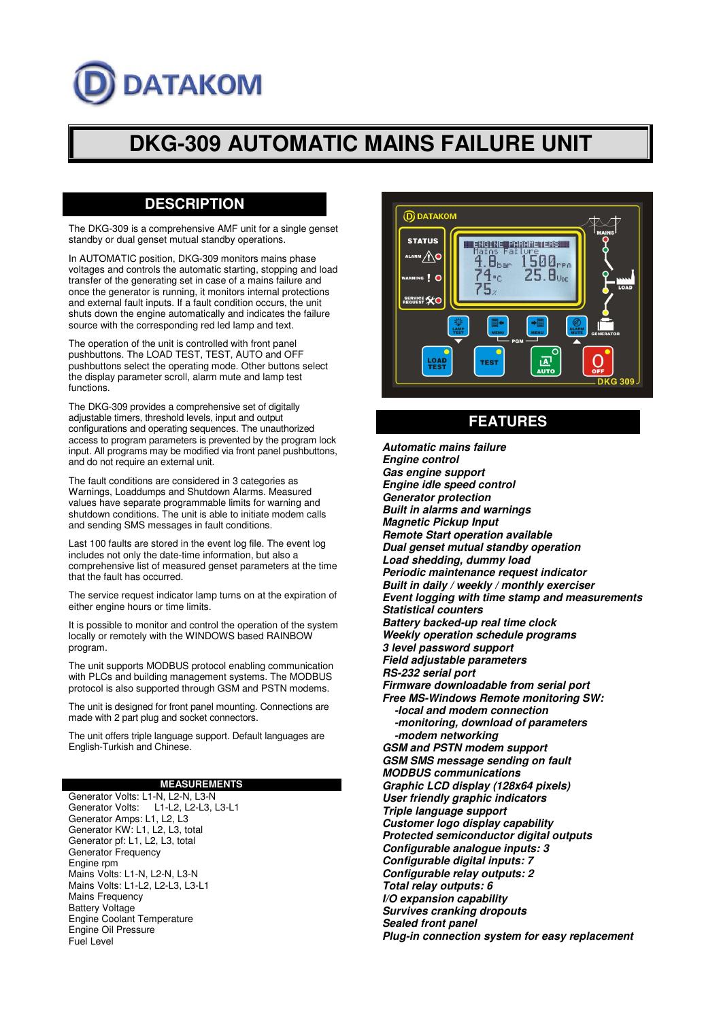# **DATAKOM**

## **DKG-309 AUTOMATIC MAINS FAILURE UNIT**

#### **DESCRIPTION**

The DKG-309 is a comprehensive AMF unit for a single genset standby or dual genset mutual standby operations.

In AUTOMATIC position, DKG-309 monitors mains phase voltages and controls the automatic starting, stopping and load transfer of the generating set in case of a mains failure and once the generator is running, it monitors internal protections and external fault inputs. If a fault condition occurs, the unit shuts down the engine automatically and indicates the failure source with the corresponding red led lamp and text.

The operation of the unit is controlled with front panel pushbuttons. The LOAD TEST, TEST, AUTO and OFF pushbuttons select the operating mode. Other buttons select the display parameter scroll, alarm mute and lamp test functions.

The DKG-309 provides a comprehensive set of digitally adjustable timers, threshold levels, input and output configurations and operating sequences. The unauthorized access to program parameters is prevented by the program lock input. All programs may be modified via front panel pushbuttons, and do not require an external unit.

The fault conditions are considered in 3 categories as Warnings, Loaddumps and Shutdown Alarms. Measured values have separate programmable limits for warning and shutdown conditions. The unit is able to initiate modem calls and sending SMS messages in fault conditions.

Last 100 faults are stored in the event log file. The event log includes not only the date-time information, but also a comprehensive list of measured genset parameters at the time that the fault has occurred.

The service request indicator lamp turns on at the expiration of either engine hours or time limits.

It is possible to monitor and control the operation of the system locally or remotely with the WINDOWS based RAINBOW program.

The unit supports MODBUS protocol enabling communication with PLCs and building management systems. The MODBUS protocol is also supported through GSM and PSTN modems.

The unit is designed for front panel mounting. Connections are made with 2 part plug and socket connectors.

The unit offers triple language support. Default languages are English-Turkish and Chinese.

#### **MEASUREMENTS**

Generator Volts: L1-N, L2-N, L3-N<br>Generator Volts: L1-L2, L2-L3, I L1-L2, L2-L3, L3-L1 Generator Amps: L1, L2, L3 Generator KW: L1, L2, L3, total Generator pf: L1, L2, L3, total Generator Frequency Engine rpm Mains Volts: L1-N, L2-N, L3-N Mains Volts: L1-L2, L2-L3, L3-L1 Mains Frequency Battery Voltage Engine Coolant Temperature Engine Oil Pressure Fuel Level



### **FEATURES**

**Automatic mains failure Engine control Gas engine support Engine idle speed control Generator protection Built in alarms and warnings Magnetic Pickup Input Remote Start operation available Dual genset mutual standby operation Load shedding, dummy load Periodic maintenance request indicator Built in daily / weekly / monthly exerciser Event logging with time stamp and measurements Statistical counters Battery backed-up real time clock Weekly operation schedule programs 3 level password support Field adjustable parameters RS-232 serial port Firmware downloadable from serial port Free MS-Windows Remote monitoring SW: -local and modem connection -monitoring, download of parameters -modem networking GSM and PSTN modem support GSM SMS message sending on fault MODBUS communications Graphic LCD display (128x64 pixels) User friendly graphic indicators Triple language support Customer logo display capability Protected semiconductor digital outputs Configurable analogue inputs: 3 Configurable digital inputs: 7 Configurable relay outputs: 2 Total relay outputs: 6 I/O expansion capability Survives cranking dropouts Sealed front panel Plug-in connection system for easy replacement**